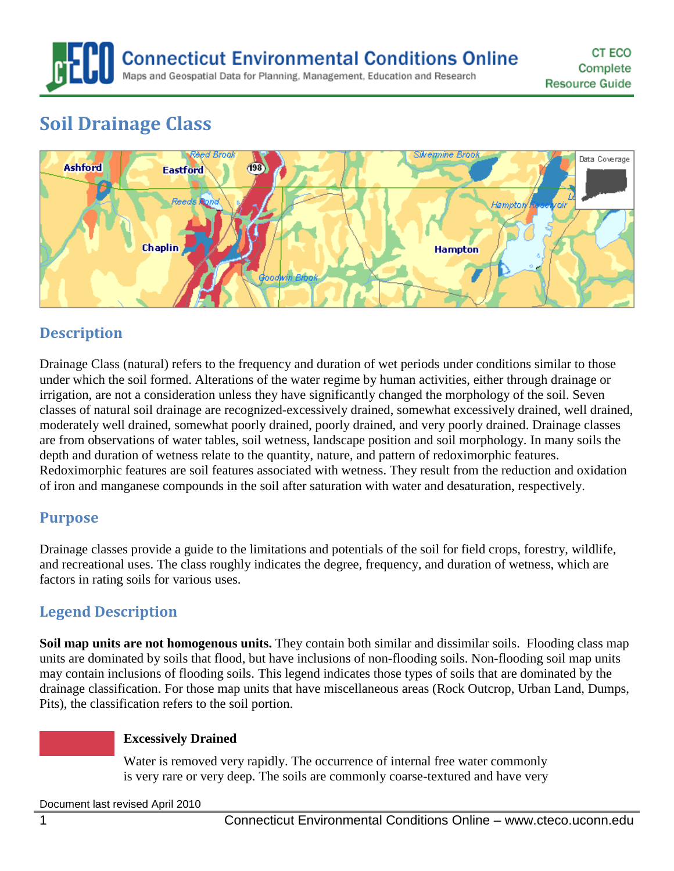# **Soil Drainage Class**



# **Description**

Drainage Class (natural) refers to the frequency and duration of wet periods under conditions similar to those under which the soil formed. Alterations of the water regime by human activities, either through drainage or irrigation, are not a consideration unless they have significantly changed the morphology of the soil. Seven classes of natural soil drainage are recognized-excessively drained, somewhat excessively drained, well drained, moderately well drained, somewhat poorly drained, poorly drained, and very poorly drained. Drainage classes are from observations of water tables, soil wetness, landscape position and soil morphology. In many soils the depth and duration of wetness relate to the quantity, nature, and pattern of redoximorphic features. Redoximorphic features are soil features associated with wetness. They result from the reduction and oxidation of iron and manganese compounds in the soil after saturation with water and desaturation, respectively.

## **Purpose**

Drainage classes provide a guide to the limitations and potentials of the soil for field crops, forestry, wildlife, and recreational uses. The class roughly indicates the degree, frequency, and duration of wetness, which are factors in rating soils for various uses.

# **Legend Description**

**Soil map units are not homogenous units.** They contain both similar and dissimilar soils. Flooding class map units are dominated by soils that flood, but have inclusions of non-flooding soils. Non-flooding soil map units may contain inclusions of flooding soils. This legend indicates those types of soils that are dominated by the drainage classification. For those map units that have miscellaneous areas (Rock Outcrop, Urban Land, Dumps, Pits), the classification refers to the soil portion.

### **Excessively Drained**

Water is removed very rapidly. The occurrence of internal free water commonly is very rare or very deep. The soils are commonly coarse-textured and have very

Document last revised April 2010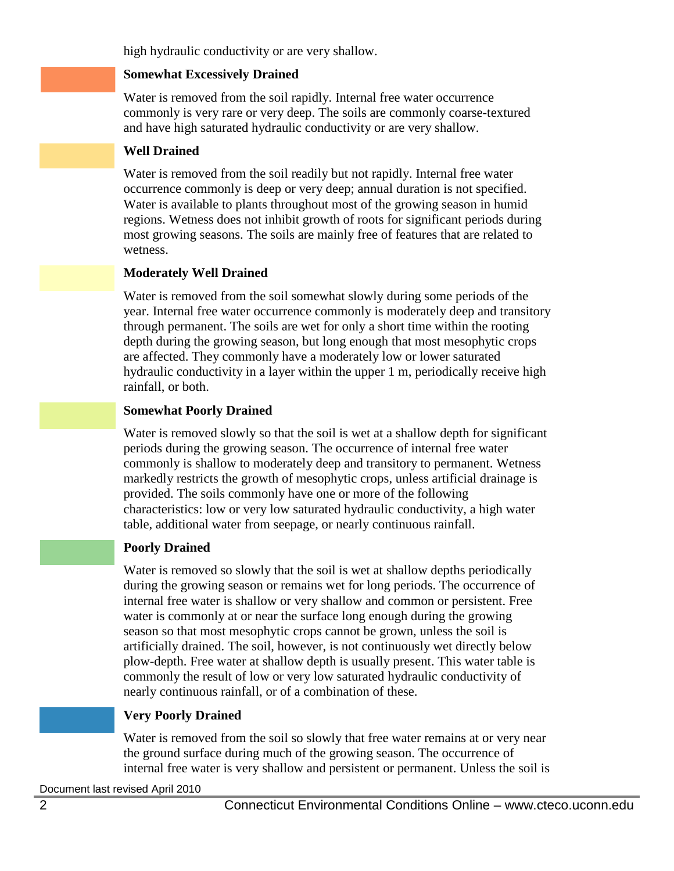high hydraulic conductivity or are very shallow.

#### **Somewhat Excessively Drained**

Water is removed from the soil rapidly. Internal free water occurrence commonly is very rare or very deep. The soils are commonly coarse-textured and have high saturated hydraulic conductivity or are very shallow.

### **Well Drained**

Water is removed from the soil readily but not rapidly. Internal free water occurrence commonly is deep or very deep; annual duration is not specified. Water is available to plants throughout most of the growing season in humid regions. Wetness does not inhibit growth of roots for significant periods during most growing seasons. The soils are mainly free of features that are related to wetness.

### **Moderately Well Drained**

Water is removed from the soil somewhat slowly during some periods of the year. Internal free water occurrence commonly is moderately deep and transitory through permanent. The soils are wet for only a short time within the rooting depth during the growing season, but long enough that most mesophytic crops are affected. They commonly have a moderately low or lower saturated hydraulic conductivity in a layer within the upper 1 m, periodically receive high rainfall, or both.

#### **Somewhat Poorly Drained**

Water is removed slowly so that the soil is wet at a shallow depth for significant periods during the growing season. The occurrence of internal free water commonly is shallow to moderately deep and transitory to permanent. Wetness markedly restricts the growth of mesophytic crops, unless artificial drainage is provided. The soils commonly have one or more of the following characteristics: low or very low saturated hydraulic conductivity, a high water table, additional water from seepage, or nearly continuous rainfall.

#### **Poorly Drained**

Water is removed so slowly that the soil is wet at shallow depths periodically during the growing season or remains wet for long periods. The occurrence of internal free water is shallow or very shallow and common or persistent. Free water is commonly at or near the surface long enough during the growing season so that most mesophytic crops cannot be grown, unless the soil is artificially drained. The soil, however, is not continuously wet directly below plow-depth. Free water at shallow depth is usually present. This water table is commonly the result of low or very low saturated hydraulic conductivity of nearly continuous rainfall, or of a combination of these.

#### **Very Poorly Drained**

Water is removed from the soil so slowly that free water remains at or very near the ground surface during much of the growing season. The occurrence of internal free water is very shallow and persistent or permanent. Unless the soil is

Document last revised April 2010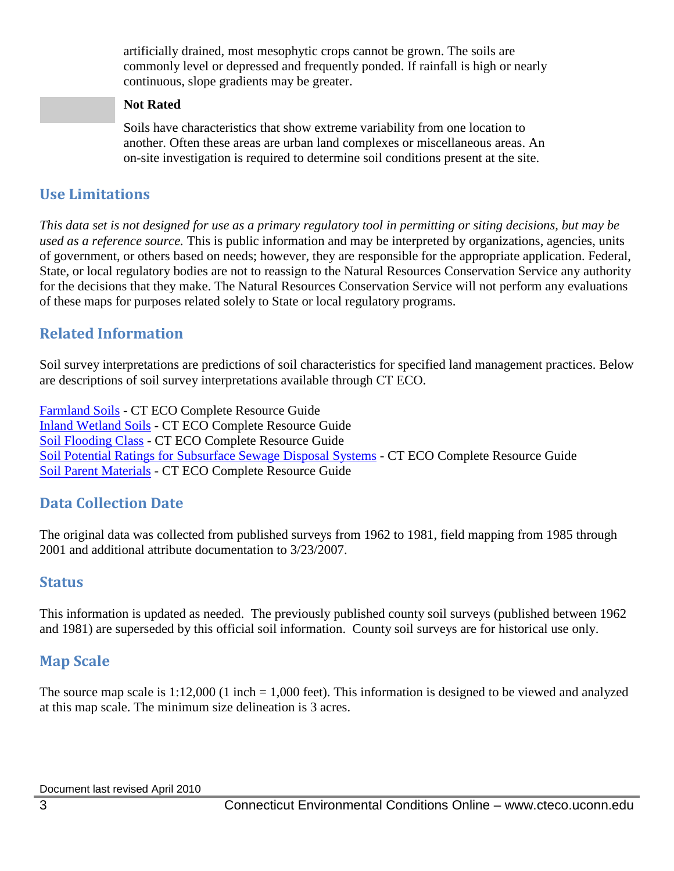artificially drained, most mesophytic crops cannot be grown. The soils are commonly level or depressed and frequently ponded. If rainfall is high or nearly continuous, slope gradients may be greater.

#### **Not Rated**

Soils have characteristics that show extreme variability from one location to another. Often these areas are urban land complexes or miscellaneous areas. An on-site investigation is required to determine soil conditions present at the site.

### **Use Limitations**

*This data set is not designed for use as a primary regulatory tool in permitting or siting decisions, but may be used as a reference source.* This is public information and may be interpreted by organizations, agencies, units of government, or others based on needs; however, they are responsible for the appropriate application. Federal, State, or local regulatory bodies are not to reassign to the Natural Resources Conservation Service any authority for the decisions that they make. The Natural Resources Conservation Service will not perform any evaluations of these maps for purposes related solely to State or local regulatory programs.

### **Related Information**

Soil survey interpretations are predictions of soil characteristics for specified land management practices. Below are descriptions of soil survey interpretations available through CT ECO.

[Farmland Soils](http://www.cteco.uconn.edu/guides/resource/CT_ECO_Resource_Guide_Soils_Farmland.pdf) - CT ECO Complete Resource Guide [Inland Wetland Soils](http://www.cteco.uconn.edu/guides/resource/CT_ECO_Resource_Guide_Soils_Inland_Wetland.pdf) - CT ECO Complete Resource Guide [Soil Flooding Class](http://www.cteco.uconn.edu/guides/resource/CT_ECO_Resource_Guide_Soils_Flooding.pdf) - CT ECO Complete Resource Guide [Soil Potential Ratings for Subsurface Sewage Disposal Systems](http://www.cteco.uconn.edu/guides/resource/CT_ECO_Resource_Guide_Soils_Potential_SSDS.pdf) - CT ECO Complete Resource Guide [Soil Parent Materials](http://www.cteco.uconn.edu/guides/resource/CT_ECO_Resource_Guide_Soils_Parent_Material.pdf) - CT ECO Complete Resource Guide

## **Data Collection Date**

The original data was collected from published surveys from 1962 to 1981, field mapping from 1985 through 2001 and additional attribute documentation to 3/23/2007.

### **Status**

This information is updated as needed. The previously published county soil surveys (published between 1962 and 1981) are superseded by this official soil information. County soil surveys are for historical use only.

## **Map Scale**

The source map scale is  $1:12,000$  (1 inch = 1,000 feet). This information is designed to be viewed and analyzed at this map scale. The minimum size delineation is 3 acres.

Document last revised April 2010